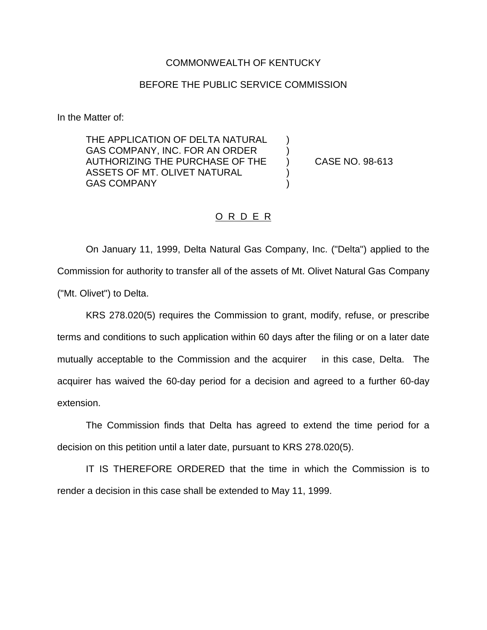## COMMONWEALTH OF KENTUCKY

## BEFORE THE PUBLIC SERVICE COMMISSION

In the Matter of:

THE APPLICATION OF DELTA NATURAL GAS COMPANY, INC. FOR AN ORDER AUTHORIZING THE PURCHASE OF THE ) CASE NO. 98-613 ASSETS OF MT. OLIVET NATURAL GAS COMPANY (30)

## O R D E R

On January 11, 1999, Delta Natural Gas Company, Inc. ("Delta") applied to the Commission for authority to transfer all of the assets of Mt. Olivet Natural Gas Company ("Mt. Olivet") to Delta.

KRS 278.020(5) requires the Commission to grant, modify, refuse, or prescribe terms and conditions to such application within 60 days after the filing or on a later date mutually acceptable to the Commission and the acquirer in this case, Delta. The acquirer has waived the 60-day period for a decision and agreed to a further 60-day extension.

The Commission finds that Delta has agreed to extend the time period for a decision on this petition until a later date, pursuant to KRS 278.020(5).

IT IS THEREFORE ORDERED that the time in which the Commission is to render a decision in this case shall be extended to May 11, 1999.